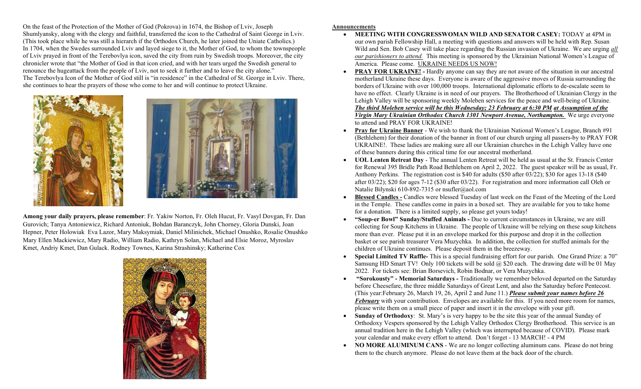On the feast of the Protection of the Mother of God (Pokrova) in 1674, the Bishop of Lviv, Joseph Shumlyansky, along with the clergy and faithful, transferred the icon to the Cathedral of Saint George in Lviv. (This took place while he was still a hierarch if the Orthodox Church, he later joined the Uniate Catholics.) In 1704, when the Swedes surrounded Lviv and layed siege to it, the Mother of God, to whom the townspeople of Lviv prayed in front of the Terebovlya icon, saved the city from ruin by Swedish troops. Moreover, the city chronicler wrote that "the Mother of God in that icon cried, and with her tears urged the Swedish general to renounce the hugeattack from the people of Lviv, not to seek it further and to leave the city alone." The Terebovlya Icon of the Mother of God still is "in residence" in the Cathedral of St. George in Lviv. There, she continues to hear the prayers of those who come to her and will continue to protect Ukraine.





Among your daily prayers, please remember: Fr. Yakiw Norton, Fr. Oleh Hucut, Fr. Vasyl Dovgan, Fr. Dan Gurovich; Tanya Antoniewicz, Richard Antoniuk, Bohdan Baranczyk, John Chorney, Gloria Dunski, Joan Hepner, Peter Holowiak Eva Lazor, Mary Maksymiak, Daniel Milinichek, Michael Onushko, Rosalie Onushko Mary Ellen Mackiewicz, Mary Radio, William Radio, Kathryn Solan, Michael and Elsie Moroz, Myroslav Kmet, Andriy Kmet, Dan Gulack. Rodney Townes, Karina Strashinsky; Katherine Cox



## Announcements

- MEETING WITH CONGRESSWOMAN WILD AND SENATOR CASEY: TODAY at 4PM in our own parish Fellowship Hall, a meeting with questions and answers will be held with Rep. Susan Wild and Sen. Bob Casey will take place regarding the Russian invasion of Ukraine. We are urging all our parishioners to attend. This meeting is sponsored by the Ukrainian National Women's League of America. Please come. UKRAINE NEEDS US NOW!
- PRAY FOR UKRAINE! Hardly anyone can say they are not aware of the situation in our ancestral motherland Ukraine these days. Everyone is aware of the aggressive moves of Russia surrounding the borders of Ukraine with over 100,000 troops. International diplomatic efforts to de-escalate seem to have no effect. Clearly Ukraine is in need of our prayers. The Brotherhood of Ukrainian Clergy in the Lehigh Valley will be sponsoring weekly Moleben services for the peace and well-being of Ukraine. The third Moleben service will be this Wednesday; 23 February at 6:30 PM at Assumption of the Virgin Mary Ukrainian Orthodox Church 1301 Newport Avenue, Northampton. We urge everyone to attend and PRAY FOR UKRAINE!
- Pray for Ukraine Banner We wish to thank the Ukrainian National Women's League, Branch #91 (Bethlehem) for their donation of the banner in front of our church urging all passers-by to PRAY FOR UKRAINE!. These ladies are making sure all our Ukrainian churches in the Lehigh Valley have one of these banners during this critical time for our ancestral motherland.
- UOL Lenten Retreat Day The annual Lenten Retreat will be held as usual at the St. Francis Center for Renewal 395 Bridle Path Road Bethlehem on April 2, 2022. The guest speaker will be as usual, Fr. Anthony Perkins. The registration cost is \$40 for adults (\$50 after 03/22); \$30 for ages 13-18 (\$40 after 03/22); \$20 for ages 7-12 (\$30 after 03/22). For registration and more information call Oleh or Natalie Bilynski 610-892-7315 or nsufler@aol.com
- Blessed Candles Candles were blessed Tuesday of last week on the Feast of the Meeting of the Lord in the Temple. These candles come in pairs in a boxed set. They are available for you to take home for a donation. There is a limited supply, so please get yours today!
- "Soup-er Bowl" Sunday/Stuffed Animals Due to current circumstances in Ukraine, we are still collecting for Soup Kitchens in Ukraine. The people of Ukraine will be relying on these soup kitchens more than ever. Please put it in an envelope marked for this purpose and drop it in the collection basket or see parish treasurer Vera Muzychka. In addition, the collection for stuffed animals for the children of Ukraine continues. Please deposit them in the breezeway.
- Special Limited TV Raffle- This is a special fundraising effort for our parish. One Grand Prize: a 70" Samsung HD Smart TV! Only 100 tickets will be sold  $\omega$  \$20 each. The drawing date will be 01 May 2022. For tickets see: Brian Borsevich, Robin Bodnar, or Vera Muzychka.
- "Sorokousty" Memorial Saturdays Traditionally we remember beloved departed on the Saturday before Cheesefare, the three middle Saturdays of Great Lent, and also the Saturday before Pentecost. (This year:February 26, March 19, 26, April 2 and June 11.) Please submit your names before 26 **February** with your contribution. Envelopes are available for this. If you need more room for names, please write them on a small piece of paper and insert it in the envelope with your gift.
- Sunday of Orthodoxy: St. Mary's is very happy to be the site this year of the annual Sunday of Orthodoxy Vespers sponsored by the Lehigh Valley Orthodox Clergy Brotherhood. This service is an annual tradition here in the Lehigh Valley (which was interrupted because of COVID). Please mark your calendar and make every effort to attend. Don't forget - 13 MARCH! - 4 PM
- NO MORE ALUMINUM CANS We are no longer collecting aluminum cans. Please do not bring them to the church anymore. Please do not leave them at the back door of the church.